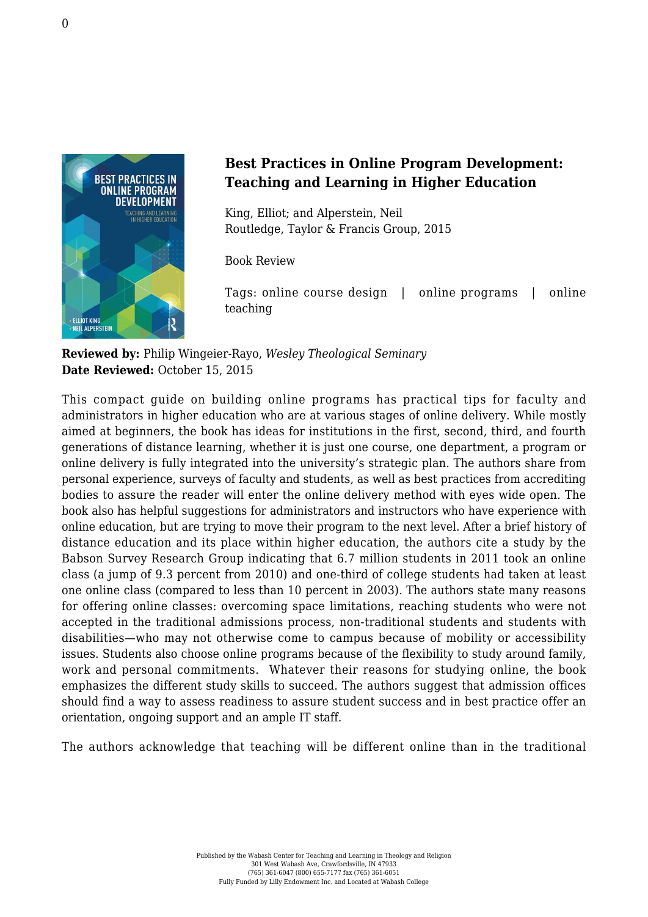

## **Best Practices in Online Program Development: Teaching and Learning in Higher Education**

King, Elliot; and Alperstein, Neil [Routledge, Taylor & Francis Group, 2015](http://www.routledge.com/books/details/9780415724449/)

Book Review

Tags: online course design | online programs | online teaching

**Reviewed by:** Philip Wingeier-Rayo, *Wesley Theological Seminary* **Date Reviewed:** October 15, 2015

This compact guide on building online programs has practical tips for faculty and administrators in higher education who are at various stages of online delivery. While mostly aimed at beginners, the book has ideas for institutions in the first, second, third, and fourth generations of distance learning, whether it is just one course, one department, a program or online delivery is fully integrated into the university's strategic plan. The authors share from personal experience, surveys of faculty and students, as well as best practices from accrediting bodies to assure the reader will enter the online delivery method with eyes wide open. The book also has helpful suggestions for administrators and instructors who have experience with online education, but are trying to move their program to the next level. After a brief history of distance education and its place within higher education, the authors cite a study by the Babson Survey Research Group indicating that 6.7 million students in 2011 took an online class (a jump of 9.3 percent from 2010) and one-third of college students had taken at least one online class (compared to less than 10 percent in 2003). The authors state many reasons for offering online classes: overcoming space limitations, reaching students who were not accepted in the traditional admissions process, non-traditional students and students with disabilities—who may not otherwise come to campus because of mobility or accessibility issues. Students also choose online programs because of the flexibility to study around family, work and personal commitments. Whatever their reasons for studying online, the book emphasizes the different study skills to succeed. The authors suggest that admission offices should find a way to assess readiness to assure student success and in best practice offer an orientation, ongoing support and an ample IT staff.

The authors acknowledge that teaching will be different online than in the traditional